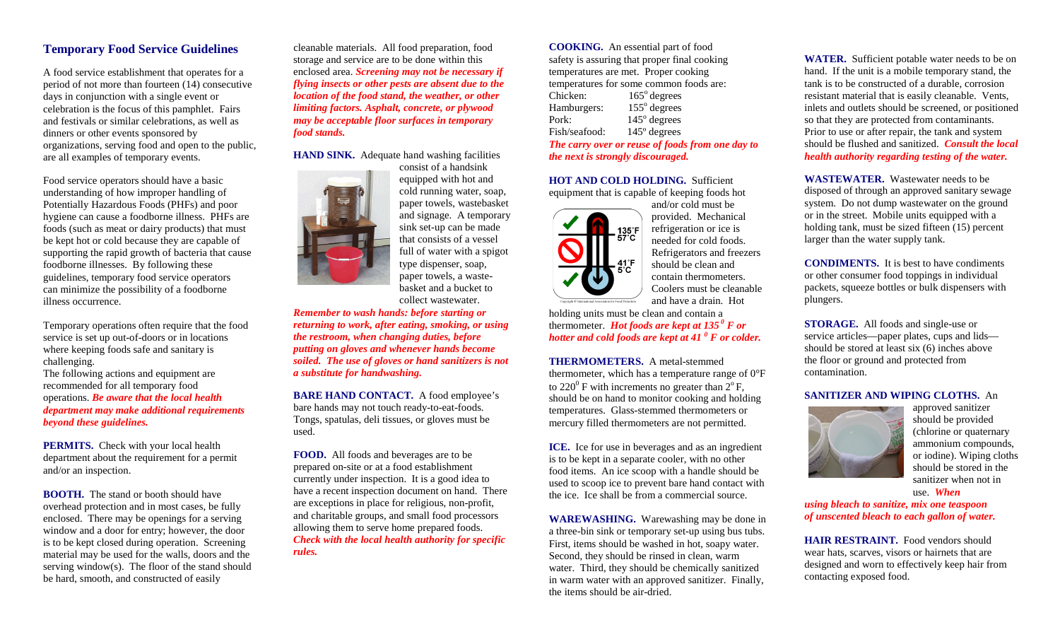## **Temporary Food Service Guidelines**

A food service establishment that operates for a period of not more than fourteen (14) consecutive days in conjunction with a single event or celebration is the focus of this pamphlet. Fairs and festivals or similar celebrations, as well as dinners or other events sponsored by organizations, serving food and open to the public, are all examples of temporary events.

Food service operators should have a basic understanding of how improper handling of Potentially Hazardous Foods (PHFs) and poor hygiene can cause a foodborne illness. PHFs are foods (such as meat or dairy products) that must be kept hot or cold because they are capable of supporting the rapid growth of bacteria that cause foodborne illnesses. By following these guidelines, temporary food service operators can minimize the possibility of a foodborne illness occurrence.

Temporary operations often require that the food service is set up out-of-doors or in locations where keeping foods safe and sanitary is challenging.

The following actions and equipment are recommended for all temporary food operations. *Be aware that the local health department may make additional requirements beyond these guidelines.*

**PERMITS.** Check with your local health department about the requirement for a permit and/or an inspection.

**BOOTH.** The stand or booth should have overhead protection and in most cases, be fully enclosed. There may be openings for a serving window and a door for entry; however, the door is to be kept closed during operation. Screening material may be used for the walls, doors and the serving window(s). The floor of the stand should be hard, smooth, and constructed of easily

cleanable materials. All food preparation, food storage and service are to be done within this enclosed area. *Screening may not be necessary if flying insects or other pests are absent due to the location of the food stand, the weather, or other limiting factors. Asphalt, concrete, or plywood may be acceptable floor surfaces in temporary food stands.*

**HAND SINK.** Adequate hand washing facilities



consist of a handsink equipped with hot and cold running water, soap, paper towels, wastebasket and signage. A temporary sink set-up can be made that consists of a vessel full of water with a spigot type dispenser, soap, paper towels, a wastebasket and a bucket to collect wastewater.

*Remember to wash hands: before starting or returning to work, after eating, smoking, or using the restroom, when changing duties, before putting on gloves and whenever hands become soiled. The use of gloves or hand sanitizers is not a substitute for handwashing.*

**BARE HAND CONTACT.** A food employee's bare hands may not touch ready-to-eat-foods. Tongs, spatulas, deli tissues, or gloves must be used.

**FOOD.** All foods and beverages are to be prepared on-site or at a food establishment currently under inspection. It is a good idea to have a recent inspection document on hand. There are exceptions in place for religious, non-profit, and charitable groups, and small food processors allowing them to serve home prepared foods. *Check with the local health authority for specific rules.*

**COOKING.** An essential part of food safety is assuring that proper final cooking temperatures are met. Proper cooking temperatures for some common foods are: Chicken: 165<sup>°</sup> degrees Hamburgers:  $155^\circ$  degrees Pork: 145<sup>°</sup> degrees Fish/seafood: 145º degrees *The carry over or reuse of foods from one day to the next is strongly discouraged.*

**HOT AND COLD HOLDING.** Sufficient equipment that is capable of keeping foods hot



and/or cold must be provided. Mechanical refrigeration or ice is needed for cold foods. Refrigerators and freezers should be clean and contain thermometers. Coolers must be cleanable and have a drain. Hot

holding units must be clean and contain a thermometer. *Hot foods are kept at*  $135^\circ$  *F* or *hotter and cold foods are kept at 41 <sup>0</sup> F or colder.*

**THERMOMETERS.** A metal-stemmed thermometer, which has a temperature range of 0°F to  $220^{\circ}$  F with increments no greater than  $2^{\circ}$  F, should be on hand to monitor cooking and holding temperatures. Glass-stemmed thermometers or mercury filled thermometers are not permitted.

**ICE.** Ice for use in beverages and as an ingredient is to be kept in a separate cooler, with no other food items. An ice scoop with a handle should be used to scoop ice to prevent bare hand contact with the ice. Ice shall be from a commercial source.

**WAREWASHING.** Warewashing may be done in a three-bin sink or temporary set-up using bus tubs. First, items should be washed in hot, soapy water. Second, they should be rinsed in clean, warm water. Third, they should be chemically sanitized in warm water with an approved sanitizer. Finally, the items should be air-dried.

**WATER.** Sufficient potable water needs to be on hand. If the unit is a mobile temporary stand, the tank is to be constructed of a durable, corrosion resistant material that is easily cleanable. Vents, inlets and outlets should be screened, or positioned so that they are protected from contaminants. Prior to use or after repair, the tank and system should be flushed and sanitized. *Consult the local health authority regarding testing of the water.*

**WASTEWATER.** Wastewater needs to be disposed of through an approved sanitary sewage system. Do not dump wastewater on the ground or in the street. Mobile units equipped with a holding tank, must be sized fifteen (15) percent larger than the water supply tank.

**CONDIMENTS.** It is best to have condiments or other consumer food toppings in individual packets, squeeze bottles or bulk dispensers with plungers.

**STORAGE.** All foods and single-use or service articles—paper plates, cups and lids should be stored at least six (6) inches above the floor or ground and protected from contamination.

## **SANITIZER AND WIPING CLOTHS.** An



approved sanitizer should be provided (chlorine or quaternary ammonium compounds, or iodine). Wiping cloths should be stored in the sanitizer when not in use. *When*

*using bleach to sanitize, mix one teaspoon of unscented bleach to each gallon of water.*

**HAIR RESTRAINT.** Food vendors should wear hats, scarves, visors or hairnets that are designed and worn to effectively keep hair from contacting exposed food.